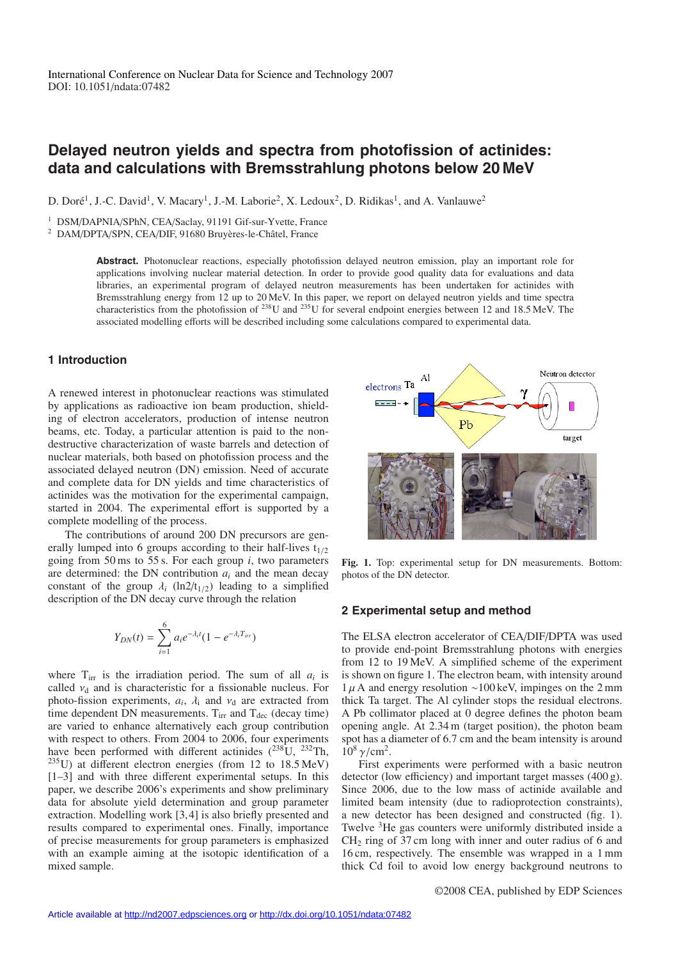# **Delayed neutron yields and spectra from photofission of actinides: data and calculations with Bremsstrahlung photons below 20 MeV**

D. Doré<sup>1</sup>, J.-C. David<sup>1</sup>, V. Macary<sup>1</sup>, J.-M. Laborie<sup>2</sup>, X. Ledoux<sup>2</sup>, D. Ridikas<sup>1</sup>, and A. Vanlauwe<sup>2</sup>

<sup>1</sup> DSM/DAPNIA/SPhN, CEA/Saclay, 91191 Gif-sur-Yvette, France

<sup>2</sup> DAM/DPTA/SPN, CEA/DIF, 91680 Bruyères-le-Châtel, France

**Abstract.** Photonuclear reactions, especially photofission delayed neutron emission, play an important role for applications involving nuclear material detection. In order to provide good quality data for evaluations and data libraries, an experimental program of delayed neutron measurements has been undertaken for actinides with Bremsstrahlung energy from 12 up to 20 MeV. In this paper, we report on delayed neutron yields and time spectra characteristics from the photofission of 238U and 235U for several endpoint energies between 12 and 18.5 MeV. The associated modelling efforts will be described including some calculations compared to experimental data.

## **1 Introduction**

A renewed interest in photonuclear reactions was stimulated by applications as radioactive ion beam production, shielding of electron accelerators, production of intense neutron beams, etc. Today, a particular attention is paid to the nondestructive characterization of waste barrels and detection of nuclear materials, both based on photofission process and the associated delayed neutron (DN) emission. Need of accurate and complete data for DN yields and time characteristics of actinides was the motivation for the experimental campaign, started in 2004. The experimental effort is supported by a complete modelling of the process.

The contributions of around 200 DN precursors are generally lumped into 6 groups according to their half-lives  $t_{1/2}$ going from 50 ms to 55 s. For each group  $i$ , two parameters are determined: the DN contribution  $a_i$  and the mean decay constant of the group  $\lambda_i$  (ln2/t<sub>1/2</sub>) leading to a simplified description of the DN decay curve through the relation

$$
Y_{DN}(t) = \sum_{i=1}^{6} a_i e^{-\lambda_i t} (1 - e^{-\lambda_i T_{irr}})
$$

where  $T_{irr}$  is the irradiation period. The sum of all  $a_i$  is called  $v_d$  and is characteristic for a fissionable nucleus. For photo-fission experiments,  $a_i$ ,  $\lambda_i$  and  $v_d$  are extracted from time dependent DN measurements.  $T_{irr}$  and  $T_{dec}$  (decay time) are varied to enhance alternatively each group contribution with respect to others. From 2004 to 2006, four experiments have been performed with different actinides  $(^{238}U, ^{232}Th,$ 235U) at different electron energies (from 12 to 18.5 MeV) [1–3] and with three different experimental setups. In this paper, we describe 2006's experiments and show preliminary data for absolute yield determination and group parameter extraction. Modelling work [3, 4] is also briefly presented and results compared to experimental ones. Finally, importance of precise measurements for group parameters is emphasized with an example aiming at the isotopic identification of a mixed sample.



**Fig. 1.** Top: experimental setup for DN measurements. Bottom: photos of the DN detector.

#### **2 Experimental setup and method**

The ELSA electron accelerator of CEA/DIF/DPTA was used to provide end-point Bremsstrahlung photons with energies from 12 to 19 MeV. A simplified scheme of the experiment is shown on figure 1. The electron beam, with intensity around  $1 \mu$  A and energy resolution ∼100 keV, impinges on the 2 mm thick Ta target. The Al cylinder stops the residual electrons. A Pb collimator placed at 0 degree defines the photon beam opening angle. At 2.34 m (target position), the photon beam spot has a diameter of 6.7 cm and the beam intensity is around  $10^8 \nu/cm^2$ .

First experiments were performed with a basic neutron detector (low efficiency) and important target masses (400 g). Since 2006, due to the low mass of actinide available and limited beam intensity (due to radioprotection constraints), a new detector has been designed and constructed (fig. 1). Twelve <sup>3</sup>He gas counters were uniformly distributed inside a CH2 ring of 37 cm long with inner and outer radius of 6 and 16 cm, respectively. The ensemble was wrapped in a 1 mm thick Cd foil to avoid low energy background neutrons to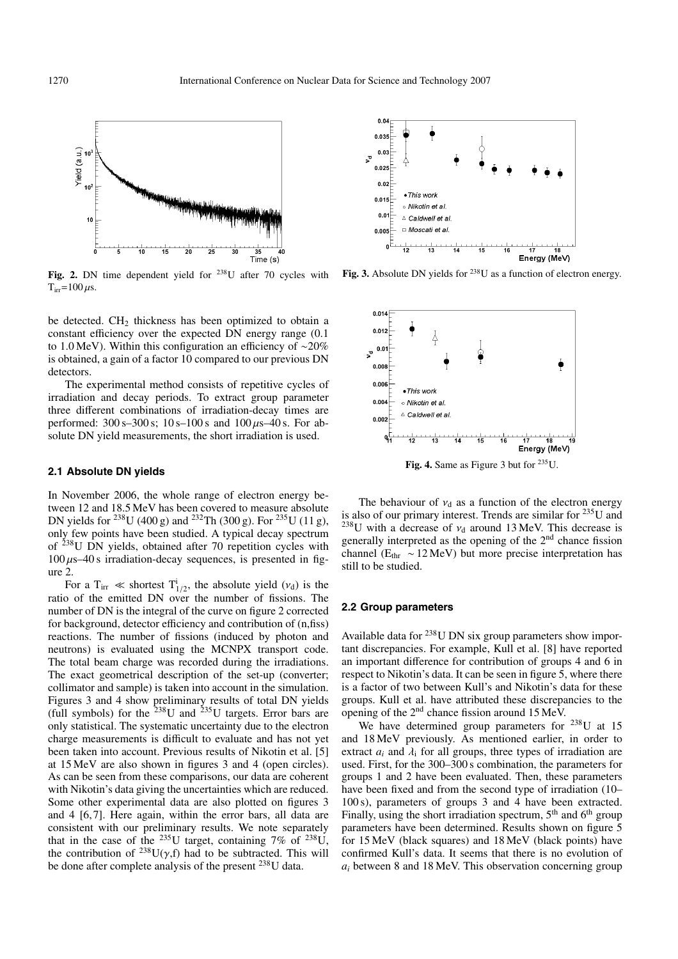

**Fig. 2.** DN time dependent yield for 238U after 70 cycles with  $T_{irr}$ =100  $\mu$ s.

be detected.  $CH<sub>2</sub>$  thickness has been optimized to obtain a constant efficiency over the expected DN energy range (0.1 to 1.0 MeV). Within this configuration an efficiency of ∼20% is obtained, a gain of a factor 10 compared to our previous DN detectors.

The experimental method consists of repetitive cycles of irradiation and decay periods. To extract group parameter three different combinations of irradiation-decay times are performed:  $300 \text{ s} - 300 \text{ s}$ ;  $10 \text{ s} - 100 \text{ s}$  and  $100 \mu\text{s} - 40 \text{ s}$ . For absolute DN yield measurements, the short irradiation is used.

#### **2.1 Absolute DN yields**

In November 2006, the whole range of electron energy between 12 and 18.5 MeV has been covered to measure absolute DN yields for <sup>238</sup>U (400 g) and <sup>232</sup>Th (300 g). For <sup>235</sup>U (11 g), only few points have been studied. A typical decay spectrum of 238U DN yields, obtained after 70 repetition cycles with  $100 \mu s$ –40 s irradiation-decay sequences, is presented in figure 2.

For a T<sub>irr</sub>  $\ll$  shortest T<sup>i</sup><sub>1/2</sub>, the absolute yield ( $v_d$ ) is the ratio of the emitted DN over the number of fissions. The number of DN is the integral of the curve on figure 2 corrected for background, detector efficiency and contribution of (n,fiss) reactions. The number of fissions (induced by photon and neutrons) is evaluated using the MCNPX transport code. The total beam charge was recorded during the irradiations. The exact geometrical description of the set-up (converter; collimator and sample) is taken into account in the simulation. Figures 3 and 4 show preliminary results of total DN yields (full symbols) for the  $^{238}$ U and  $^{235}$ U targets. Error bars are only statistical. The systematic uncertainty due to the electron charge measurements is difficult to evaluate and has not yet been taken into account. Previous results of Nikotin et al. [5] at 15 MeV are also shown in figures 3 and 4 (open circles). As can be seen from these comparisons, our data are coherent with Nikotin's data giving the uncertainties which are reduced. Some other experimental data are also plotted on figures 3 and 4 [6, 7]. Here again, within the error bars, all data are consistent with our preliminary results. We note separately that in the case of the <sup>235</sup>U target, containing 7% of <sup>238</sup>U, the contribution of  $^{238}U(\gamma,f)$  had to be subtracted. This will be done after complete analysis of the present <sup>238</sup>U data.



**Fig. 3.** Absolute DN yields for <sup>238</sup>U as a function of electron energy.



The behaviour of  $v_d$  as a function of the electron energy is also of our primary interest. Trends are similar for  $^{235}$ U and <sup>238</sup>U with a decrease of  $v_d$  around 13 MeV. This decrease is generally interpreted as the opening of the 2nd chance fission channel ( $E_{thr} \sim 12 \text{ MeV}$ ) but more precise interpretation has still to be studied.

#### **2.2 Group parameters**

Available data for 238U DN six group parameters show important discrepancies. For example, Kull et al. [8] have reported an important difference for contribution of groups 4 and 6 in respect to Nikotin's data. It can be seen in figure 5, where there is a factor of two between Kull's and Nikotin's data for these groups. Kull et al. have attributed these discrepancies to the opening of the 2nd chance fission around 15 MeV.

We have determined group parameters for  $^{238}$ U at 15 and 18 MeV previously. As mentioned earlier, in order to extract  $a_i$  and  $\lambda_i$  for all groups, three types of irradiation are used. First, for the 300–300 s combination, the parameters for groups 1 and 2 have been evaluated. Then, these parameters have been fixed and from the second type of irradiation (10– 100 s), parameters of groups 3 and 4 have been extracted. Finally, using the short irradiation spectrum,  $5<sup>th</sup>$  and  $6<sup>th</sup>$  group parameters have been determined. Results shown on figure 5 for 15 MeV (black squares) and 18 MeV (black points) have confirmed Kull's data. It seems that there is no evolution of *ai* between 8 and 18 MeV. This observation concerning group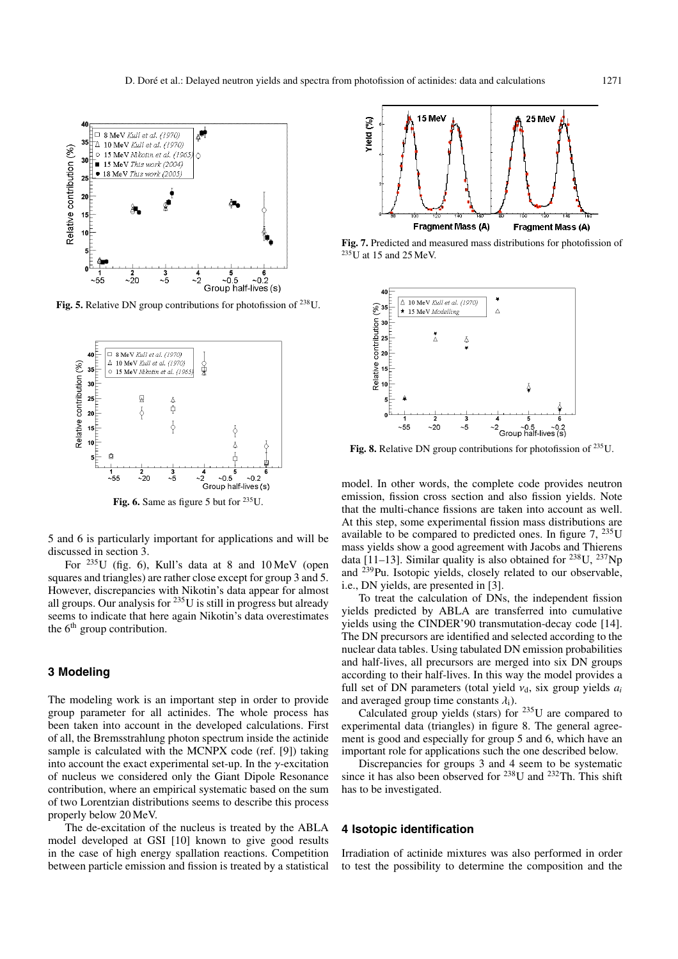

Fig. 5. Relative DN group contributions for photofission of <sup>238</sup>U.



Fig. 6. Same as figure 5 but for <sup>235</sup>U.

5 and 6 is particularly important for applications and will be discussed in section 3.

For 235U (fig. 6), Kull's data at 8 and 10 MeV (open squares and triangles) are rather close except for group 3 and 5. However, discrepancies with Nikotin's data appear for almost all groups. Our analysis for 235U is still in progress but already seems to indicate that here again Nikotin's data overestimates the  $6<sup>th</sup>$  group contribution.

# **3 Modeling**

The modeling work is an important step in order to provide group parameter for all actinides. The whole process has been taken into account in the developed calculations. First of all, the Bremsstrahlung photon spectrum inside the actinide sample is calculated with the MCNPX code (ref. [9]) taking into account the exact experimental set-up. In the  $\gamma$ -excitation of nucleus we considered only the Giant Dipole Resonance contribution, where an empirical systematic based on the sum of two Lorentzian distributions seems to describe this process properly below 20 MeV.

The de-excitation of the nucleus is treated by the ABLA model developed at GSI [10] known to give good results in the case of high energy spallation reactions. Competition between particle emission and fission is treated by a statistical



**Fig. 7.** Predicted and measured mass distributions for photofission of  $235$ U at 15 and 25 MeV.



**Fig. 8.** Relative DN group contributions for photofission of 235U.

model. In other words, the complete code provides neutron emission, fission cross section and also fission yields. Note that the multi-chance fissions are taken into account as well. At this step, some experimental fission mass distributions are available to be compared to predicted ones. In figure  $7, \frac{235}{10}$ mass yields show a good agreement with Jacobs and Thierens data [11–13]. Similar quality is also obtained for  $^{238}$ U,  $^{237}$ Np and 239Pu. Isotopic yields, closely related to our observable, i.e., DN yields, are presented in [3].

To treat the calculation of DNs, the independent fission yields predicted by ABLA are transferred into cumulative yields using the CINDER'90 transmutation-decay code [14]. The DN precursors are identified and selected according to the nuclear data tables. Using tabulated DN emission probabilities and half-lives, all precursors are merged into six DN groups according to their half-lives. In this way the model provides a full set of DN parameters (total yield  $v_d$ , six group yields  $a_i$ and averaged group time constants  $\lambda_i$ ).

Calculated group yields (stars) for  $^{235}$ U are compared to experimental data (triangles) in figure 8. The general agreement is good and especially for group 5 and 6, which have an important role for applications such the one described below.

Discrepancies for groups 3 and 4 seem to be systematic since it has also been observed for  $238$ U and  $232$ Th. This shift has to be investigated.

## **4 Isotopic identification**

Irradiation of actinide mixtures was also performed in order to test the possibility to determine the composition and the